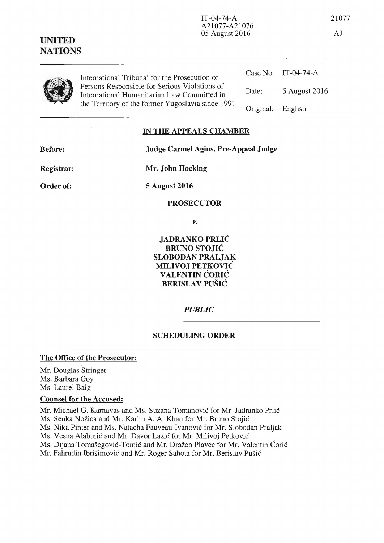| and the company's company of the |                                                                                                                                                                                                    |           |                     |
|----------------------------------|----------------------------------------------------------------------------------------------------------------------------------------------------------------------------------------------------|-----------|---------------------|
|                                  | International Tribunal for the Prosecution of<br>Persons Responsible for Serious Violations of<br>International Humanitarian Law Committed in<br>the Territory of the former Yugoslavia since 1991 |           | Case No. IT-04-74-A |
|                                  |                                                                                                                                                                                                    | Date:     | 5 August 2016       |
|                                  |                                                                                                                                                                                                    | Original: | English             |

## **IN THE APPEALS CHAMBER**

**Before:** 

**Judge Carmel Agius, Pre-Appeal Judge** 

A21077-A21076

**Registrar:** 

**UNITED NATIONS** 

**Order of:** 

**5 August 2016** 

**Mr. John Hocking** 

## **PROSECUTOR**

*v.* 

**JADRANKO PRLIC BRUNO STOJIC SLOBODAN PRALJAK MILIVOJ PETKOVIC VALENTIN CORIC BERISLAV PUSIC** 

*PUBLIC* 

#### **SCHEDULING ORDER**

### **The Office of the Prosecutor:**

Mr. Douglas Stringer Ms. Barbara Goy Ms. Laurel Baig

# **Counsel for the Accused:**

Mr. Michael G. Karnavas and Ms. Suzana Tomanović for Mr. Jadranko Prlić

Ms. Senka Nožica and Mr. Karim A. A. Khan for Mr. Bruno Stojić

Ms. Nika Pinter and Ms. Natacha Fauveau-Ivanovie for Mr. Slobodan Praljak

Ms. Vesna Alaburić and Mr. Davor Lazić for Mr. Milivoj Petković

Ms. Dijana Tomašegović-Tomić and Mr. Dražen Plavec for Mr. Valentin Ćorić

Mr. Fahrudin Ibrišimović and Mr. Roger Sahota for Mr. Berislav Pušić

IT-04-74-A 21077